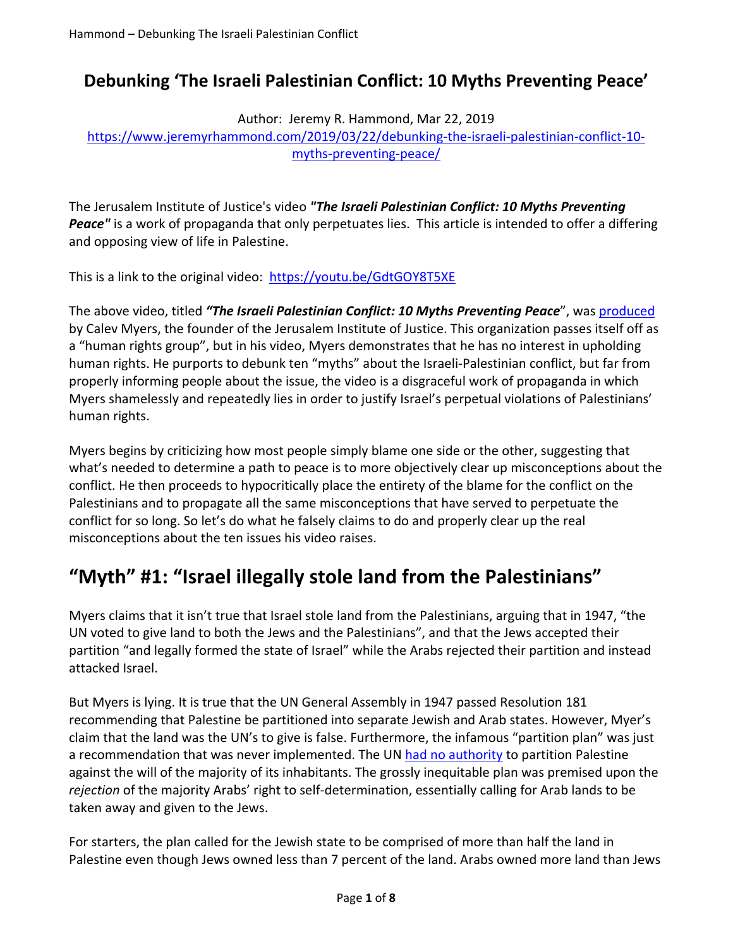#### **Debunking 'The Israeli Palestinian Conflict: 10 Myths Preventing Peace'**

Author: Jeremy R. Hammond, Mar 22, 2019

https://www.jeremyrhammond.com/2019/03/22/debunking-the-israeli-palestinian-conflict-10myths‐preventing‐peace/

The Jerusalem Institute of Justice's video *"The Israeli Palestinian Conflict: 10 Myths Preventing Peace"* is a work of propaganda that only perpetuates lies. This article is intended to offer a differing and opposing view of life in Palestine.

This is a link to the original video: https://youtu.be/GdtGOY8T5XE

The above video, titled *"The Israeli Palestinian Conflict: 10 Myths Preventing Peace*", was produced by Calev Myers, the founder of the Jerusalem Institute of Justice. This organization passes itself off as a "human rights group", but in his video, Myers demonstrates that he has no interest in upholding human rights. He purports to debunk ten "myths" about the Israeli‐Palestinian conflict, but far from properly informing people about the issue, the video is a disgraceful work of propaganda in which Myers shamelessly and repeatedly lies in order to justify Israel's perpetual violations of Palestinians' human rights.

Myers begins by criticizing how most people simply blame one side or the other, suggesting that what's needed to determine a path to peace is to more objectively clear up misconceptions about the conflict. He then proceeds to hypocritically place the entirety of the blame for the conflict on the Palestinians and to propagate all the same misconceptions that have served to perpetuate the conflict for so long. So let's do what he falsely claims to do and properly clear up the real misconceptions about the ten issues his video raises.

# **"Myth" #1: "Israel illegally stole land from the Palestinians"**

Myers claims that it isn't true that Israel stole land from the Palestinians, arguing that in 1947, "the UN voted to give land to both the Jews and the Palestinians", and that the Jews accepted their partition "and legally formed the state of Israel" while the Arabs rejected their partition and instead attacked Israel.

But Myers is lying. It is true that the UN General Assembly in 1947 passed Resolution 181 recommending that Palestine be partitioned into separate Jewish and Arab states. However, Myer's claim that the land was the UN's to give is false. Furthermore, the infamous "partition plan" was just a recommendation that was never implemented. The UN had no authority to partition Palestine against the will of the majority of its inhabitants. The grossly inequitable plan was premised upon the *rejection* of the majority Arabs' right to self‐determination, essentially calling for Arab lands to be taken away and given to the Jews.

For starters, the plan called for the Jewish state to be comprised of more than half the land in Palestine even though Jews owned less than 7 percent of the land. Arabs owned more land than Jews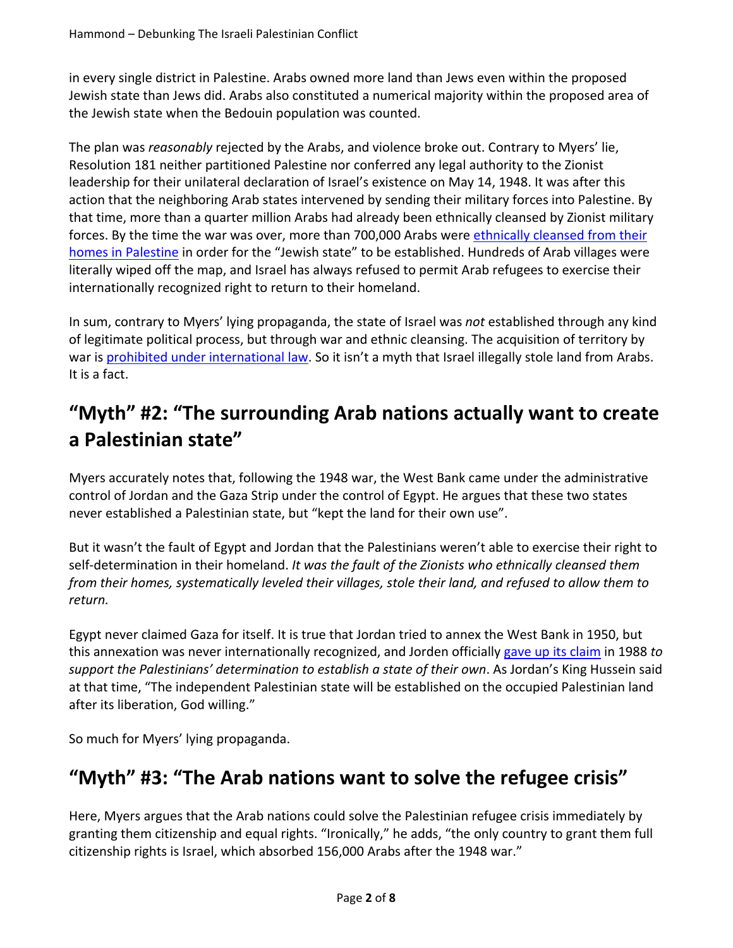in every single district in Palestine. Arabs owned more land than Jews even within the proposed Jewish state than Jews did. Arabs also constituted a numerical majority within the proposed area of the Jewish state when the Bedouin population was counted.

The plan was *reasonably* rejected by the Arabs, and violence broke out. Contrary to Myers' lie, Resolution 181 neither partitioned Palestine nor conferred any legal authority to the Zionist leadership for their unilateral declaration of Israel's existence on May 14, 1948. It was after this action that the neighboring Arab states intervened by sending their military forces into Palestine. By that time, more than a quarter million Arabs had already been ethnically cleansed by Zionist military forces. By the time the war was over, more than 700,000 Arabs were ethnically cleansed from their homes in Palestine in order for the "Jewish state" to be established. Hundreds of Arab villages were literally wiped off the map, and Israel has always refused to permit Arab refugees to exercise their internationally recognized right to return to their homeland.

In sum, contrary to Myers' lying propaganda, the state of Israel was *not* established through any kind of legitimate political process, but through war and ethnic cleansing. The acquisition of territory by war is prohibited under international law. So it isn't a myth that Israel illegally stole land from Arabs. It is a fact.

# **"Myth" #2: "The surrounding Arab nations actually want to create a Palestinian state"**

Myers accurately notes that, following the 1948 war, the West Bank came under the administrative control of Jordan and the Gaza Strip under the control of Egypt. He argues that these two states never established a Palestinian state, but "kept the land for their own use".

But it wasn't the fault of Egypt and Jordan that the Palestinians weren't able to exercise their right to self‐determination in their homeland. *It was the fault of the Zionists who ethnically cleansed them from their homes, systematically leveled their villages, stole their land, and refused to allow them to return.*

Egypt never claimed Gaza for itself. It is true that Jordan tried to annex the West Bank in 1950, but this annexation was never internationally recognized, and Jorden officially gave up its claim in 1988 *to support the Palestinians' determination to establish a state of their own*. As Jordan's King Hussein said at that time, "The independent Palestinian state will be established on the occupied Palestinian land after its liberation, God willing."

So much for Myers' lying propaganda.

# **"Myth" #3: "The Arab nations want to solve the refugee crisis"**

Here, Myers argues that the Arab nations could solve the Palestinian refugee crisis immediately by granting them citizenship and equal rights. "Ironically," he adds, "the only country to grant them full citizenship rights is Israel, which absorbed 156,000 Arabs after the 1948 war."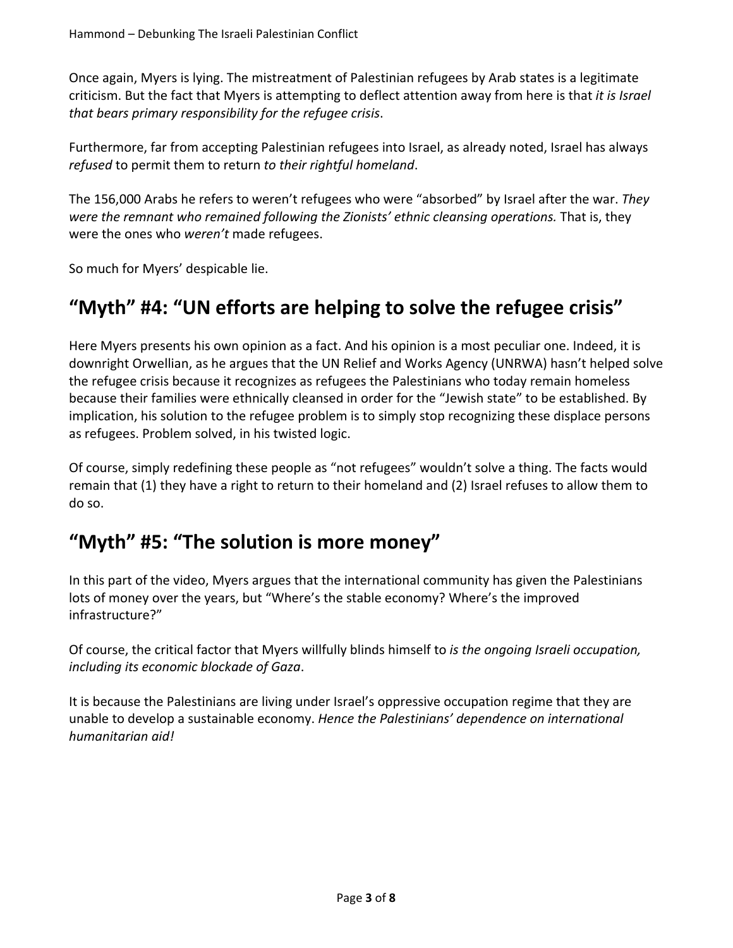Once again, Myers is lying. The mistreatment of Palestinian refugees by Arab states is a legitimate criticism. But the fact that Myers is attempting to deflect attention away from here is that *it is Israel that bears primary responsibility for the refugee crisis*.

Furthermore, far from accepting Palestinian refugees into Israel, as already noted, Israel has always *refused* to permit them to return *to their rightful homeland*.

The 156,000 Arabs he refers to weren't refugees who were "absorbed" by Israel after the war. *They were the remnant who remained following the Zionists' ethnic cleansing operations.* That is, they were the ones who *weren't* made refugees.

So much for Myers' despicable lie.

### **"Myth" #4: "UN efforts are helping to solve the refugee crisis"**

Here Myers presents his own opinion as a fact. And his opinion is a most peculiar one. Indeed, it is downright Orwellian, as he argues that the UN Relief and Works Agency (UNRWA) hasn't helped solve the refugee crisis because it recognizes as refugees the Palestinians who today remain homeless because their families were ethnically cleansed in order for the "Jewish state" to be established. By implication, his solution to the refugee problem is to simply stop recognizing these displace persons as refugees. Problem solved, in his twisted logic.

Of course, simply redefining these people as "not refugees" wouldn't solve a thing. The facts would remain that (1) they have a right to return to their homeland and (2) Israel refuses to allow them to do so.

### **"Myth" #5: "The solution is more money"**

In this part of the video, Myers argues that the international community has given the Palestinians lots of money over the years, but "Where's the stable economy? Where's the improved infrastructure?"

Of course, the critical factor that Myers willfully blinds himself to *is the ongoing Israeli occupation, including its economic blockade of Gaza*.

It is because the Palestinians are living under Israel's oppressive occupation regime that they are unable to develop a sustainable economy. *Hence the Palestinians' dependence on international humanitarian aid!*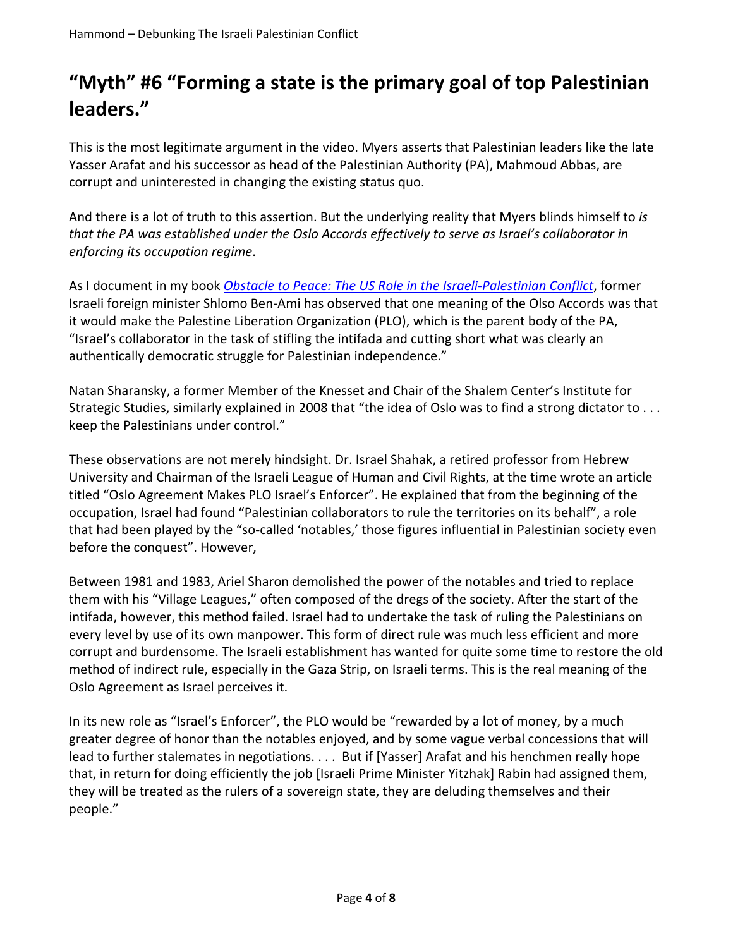# **"Myth" #6 "Forming a state is the primary goal of top Palestinian leaders."**

This is the most legitimate argument in the video. Myers asserts that Palestinian leaders like the late Yasser Arafat and his successor as head of the Palestinian Authority (PA), Mahmoud Abbas, are corrupt and uninterested in changing the existing status quo.

And there is a lot of truth to this assertion. But the underlying reality that Myers blinds himself to *is that the PA was established under the Oslo Accords effectively to serve as Israel's collaborator in enforcing its occupation regime*.

As I document in my book *Obstacle to Peace: The US Role in the Israeli‐Palestinian Conflict*, former Israeli foreign minister Shlomo Ben‐Ami has observed that one meaning of the Olso Accords was that it would make the Palestine Liberation Organization (PLO), which is the parent body of the PA, "Israel's collaborator in the task of stifling the intifada and cutting short what was clearly an authentically democratic struggle for Palestinian independence."

Natan Sharansky, a former Member of the Knesset and Chair of the Shalem Center's Institute for Strategic Studies, similarly explained in 2008 that "the idea of Oslo was to find a strong dictator to . . . keep the Palestinians under control."

These observations are not merely hindsight. Dr. Israel Shahak, a retired professor from Hebrew University and Chairman of the Israeli League of Human and Civil Rights, at the time wrote an article titled "Oslo Agreement Makes PLO Israel's Enforcer". He explained that from the beginning of the occupation, Israel had found "Palestinian collaborators to rule the territories on its behalf", a role that had been played by the "so‐called 'notables,' those figures influential in Palestinian society even before the conquest". However,

Between 1981 and 1983, Ariel Sharon demolished the power of the notables and tried to replace them with his "Village Leagues," often composed of the dregs of the society. After the start of the intifada, however, this method failed. Israel had to undertake the task of ruling the Palestinians on every level by use of its own manpower. This form of direct rule was much less efficient and more corrupt and burdensome. The Israeli establishment has wanted for quite some time to restore the old method of indirect rule, especially in the Gaza Strip, on Israeli terms. This is the real meaning of the Oslo Agreement as Israel perceives it.

In its new role as "Israel's Enforcer", the PLO would be "rewarded by a lot of money, by a much greater degree of honor than the notables enjoyed, and by some vague verbal concessions that will lead to further stalemates in negotiations. . . . But if [Yasser] Arafat and his henchmen really hope that, in return for doing efficiently the job [Israeli Prime Minister Yitzhak] Rabin had assigned them, they will be treated as the rulers of a sovereign state, they are deluding themselves and their people."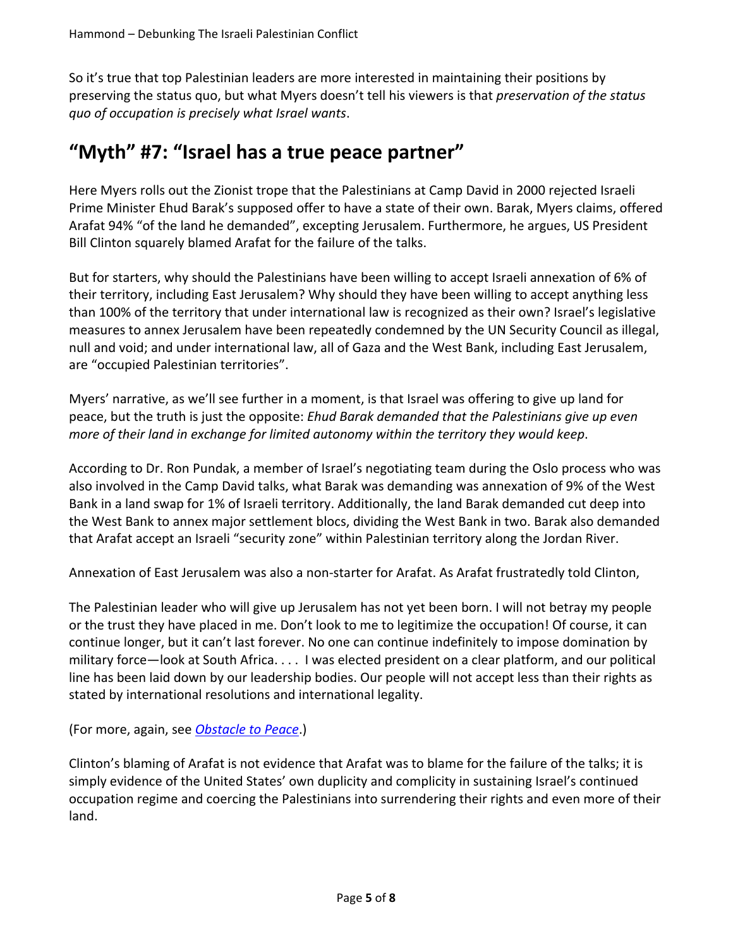So it's true that top Palestinian leaders are more interested in maintaining their positions by preserving the status quo, but what Myers doesn't tell his viewers is that *preservation of the status quo of occupation is precisely what Israel wants*.

#### **"Myth" #7: "Israel has a true peace partner"**

Here Myers rolls out the Zionist trope that the Palestinians at Camp David in 2000 rejected Israeli Prime Minister Ehud Barak's supposed offer to have a state of their own. Barak, Myers claims, offered Arafat 94% "of the land he demanded", excepting Jerusalem. Furthermore, he argues, US President Bill Clinton squarely blamed Arafat for the failure of the talks.

But for starters, why should the Palestinians have been willing to accept Israeli annexation of 6% of their territory, including East Jerusalem? Why should they have been willing to accept anything less than 100% of the territory that under international law is recognized as their own? Israel's legislative measures to annex Jerusalem have been repeatedly condemned by the UN Security Council as illegal, null and void; and under international law, all of Gaza and the West Bank, including East Jerusalem, are "occupied Palestinian territories".

Myers' narrative, as we'll see further in a moment, is that Israel was offering to give up land for peace, but the truth is just the opposite: *Ehud Barak demanded that the Palestinians give up even more of their land in exchange for limited autonomy within the territory they would keep*.

According to Dr. Ron Pundak, a member of Israel's negotiating team during the Oslo process who was also involved in the Camp David talks, what Barak was demanding was annexation of 9% of the West Bank in a land swap for 1% of Israeli territory. Additionally, the land Barak demanded cut deep into the West Bank to annex major settlement blocs, dividing the West Bank in two. Barak also demanded that Arafat accept an Israeli "security zone" within Palestinian territory along the Jordan River.

Annexation of East Jerusalem was also a non‐starter for Arafat. As Arafat frustratedly told Clinton,

The Palestinian leader who will give up Jerusalem has not yet been born. I will not betray my people or the trust they have placed in me. Don't look to me to legitimize the occupation! Of course, it can continue longer, but it can't last forever. No one can continue indefinitely to impose domination by military force—look at South Africa. . . . I was elected president on a clear platform, and our political line has been laid down by our leadership bodies. Our people will not accept less than their rights as stated by international resolutions and international legality.

(For more, again, see *Obstacle to Peace*.)

Clinton's blaming of Arafat is not evidence that Arafat was to blame for the failure of the talks; it is simply evidence of the United States' own duplicity and complicity in sustaining Israel's continued occupation regime and coercing the Palestinians into surrendering their rights and even more of their land.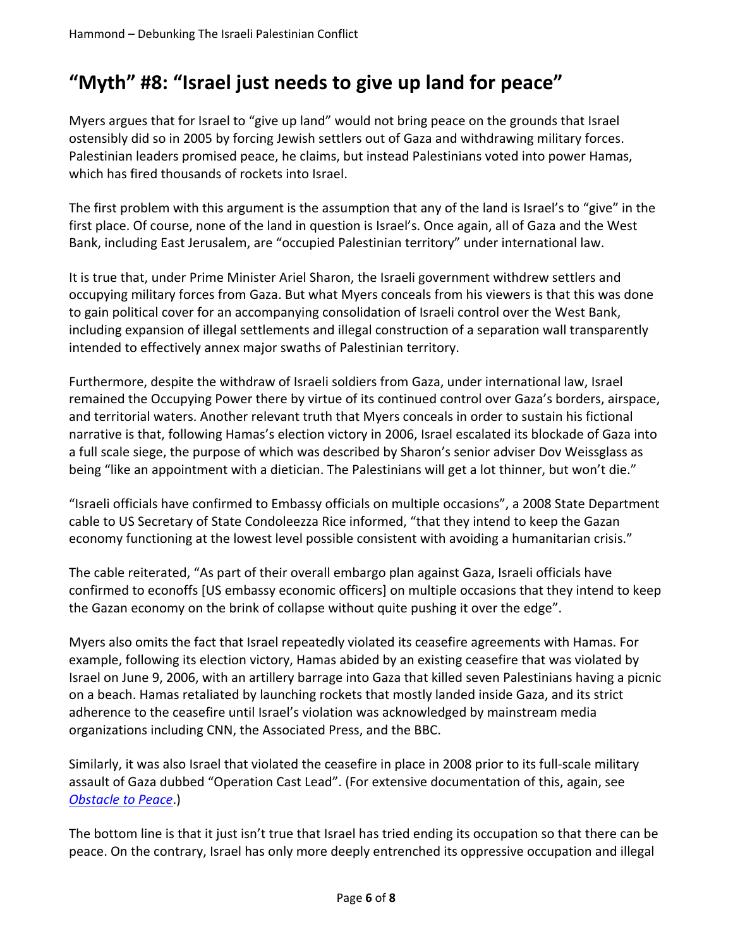# **"Myth" #8: "Israel just needs to give up land for peace"**

Myers argues that for Israel to "give up land" would not bring peace on the grounds that Israel ostensibly did so in 2005 by forcing Jewish settlers out of Gaza and withdrawing military forces. Palestinian leaders promised peace, he claims, but instead Palestinians voted into power Hamas, which has fired thousands of rockets into Israel.

The first problem with this argument is the assumption that any of the land is Israel's to "give" in the first place. Of course, none of the land in question is Israel's. Once again, all of Gaza and the West Bank, including East Jerusalem, are "occupied Palestinian territory" under international law.

It is true that, under Prime Minister Ariel Sharon, the Israeli government withdrew settlers and occupying military forces from Gaza. But what Myers conceals from his viewers is that this was done to gain political cover for an accompanying consolidation of Israeli control over the West Bank, including expansion of illegal settlements and illegal construction of a separation wall transparently intended to effectively annex major swaths of Palestinian territory.

Furthermore, despite the withdraw of Israeli soldiers from Gaza, under international law, Israel remained the Occupying Power there by virtue of its continued control over Gaza's borders, airspace, and territorial waters. Another relevant truth that Myers conceals in order to sustain his fictional narrative is that, following Hamas's election victory in 2006, Israel escalated its blockade of Gaza into a full scale siege, the purpose of which was described by Sharon's senior adviser Dov Weissglass as being "like an appointment with a dietician. The Palestinians will get a lot thinner, but won't die."

"Israeli officials have confirmed to Embassy officials on multiple occasions", a 2008 State Department cable to US Secretary of State Condoleezza Rice informed, "that they intend to keep the Gazan economy functioning at the lowest level possible consistent with avoiding a humanitarian crisis."

The cable reiterated, "As part of their overall embargo plan against Gaza, Israeli officials have confirmed to econoffs [US embassy economic officers] on multiple occasions that they intend to keep the Gazan economy on the brink of collapse without quite pushing it over the edge".

Myers also omits the fact that Israel repeatedly violated its ceasefire agreements with Hamas. For example, following its election victory, Hamas abided by an existing ceasefire that was violated by Israel on June 9, 2006, with an artillery barrage into Gaza that killed seven Palestinians having a picnic on a beach. Hamas retaliated by launching rockets that mostly landed inside Gaza, and its strict adherence to the ceasefire until Israel's violation was acknowledged by mainstream media organizations including CNN, the Associated Press, and the BBC.

Similarly, it was also Israel that violated the ceasefire in place in 2008 prior to its full‐scale military assault of Gaza dubbed "Operation Cast Lead". (For extensive documentation of this, again, see *Obstacle to Peace*.)

The bottom line is that it just isn't true that Israel has tried ending its occupation so that there can be peace. On the contrary, Israel has only more deeply entrenched its oppressive occupation and illegal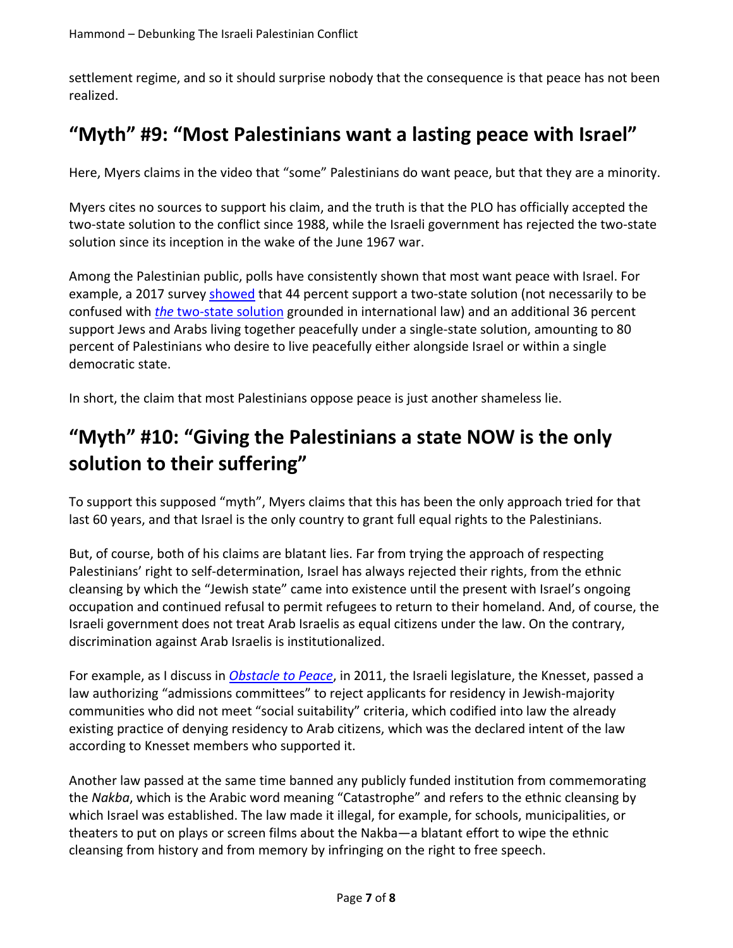settlement regime, and so it should surprise nobody that the consequence is that peace has not been realized.

### **"Myth" #9: "Most Palestinians want a lasting peace with Israel"**

Here, Myers claims in the video that "some" Palestinians do want peace, but that they are a minority.

Myers cites no sources to support his claim, and the truth is that the PLO has officially accepted the two-state solution to the conflict since 1988, while the Israeli government has rejected the two-state solution since its inception in the wake of the June 1967 war.

Among the Palestinian public, polls have consistently shown that most want peace with Israel. For example, a 2017 survey showed that 44 percent support a two-state solution (not necessarily to be confused with *the* two‐state solution grounded in international law) and an additional 36 percent support Jews and Arabs living together peacefully under a single-state solution, amounting to 80 percent of Palestinians who desire to live peacefully either alongside Israel or within a single democratic state.

In short, the claim that most Palestinians oppose peace is just another shameless lie.

# **"Myth" #10: "Giving the Palestinians a state NOW is the only solution to their suffering"**

To support this supposed "myth", Myers claims that this has been the only approach tried for that last 60 years, and that Israel is the only country to grant full equal rights to the Palestinians.

But, of course, both of his claims are blatant lies. Far from trying the approach of respecting Palestinians' right to self‐determination, Israel has always rejected their rights, from the ethnic cleansing by which the "Jewish state" came into existence until the present with Israel's ongoing occupation and continued refusal to permit refugees to return to their homeland. And, of course, the Israeli government does not treat Arab Israelis as equal citizens under the law. On the contrary, discrimination against Arab Israelis is institutionalized.

For example, as I discuss in *Obstacle to Peace*, in 2011, the Israeli legislature, the Knesset, passed a law authorizing "admissions committees" to reject applicants for residency in Jewish‐majority communities who did not meet "social suitability" criteria, which codified into law the already existing practice of denying residency to Arab citizens, which was the declared intent of the law according to Knesset members who supported it.

Another law passed at the same time banned any publicly funded institution from commemorating the *Nakba*, which is the Arabic word meaning "Catastrophe" and refers to the ethnic cleansing by which Israel was established. The law made it illegal, for example, for schools, municipalities, or theaters to put on plays or screen films about the Nakba—a blatant effort to wipe the ethnic cleansing from history and from memory by infringing on the right to free speech.